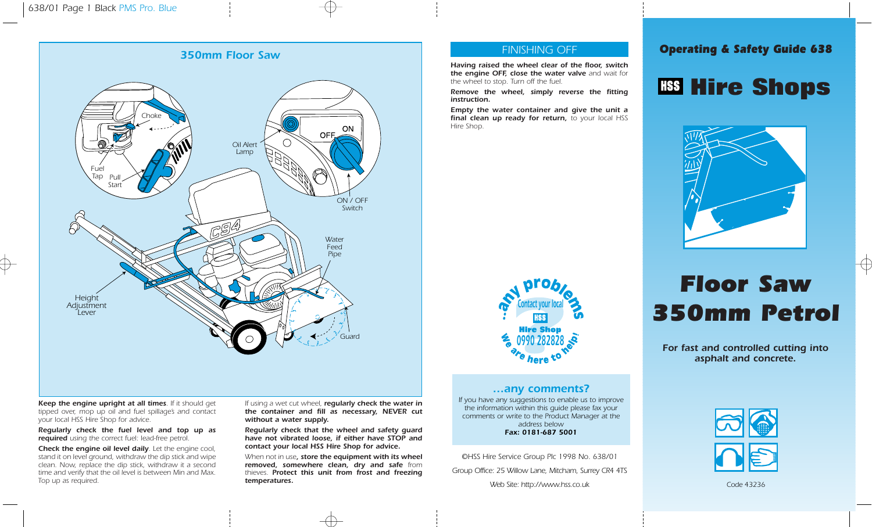

Keep the engine upright at all times. If it should get tipped over, mop up oil and fuel spillage's and contact your local HSS Hire Shop for advice.

Regularly check the fuel level and top up as required using the correct fuel: lead-free petrol.

Check the engine oil level daily. Let the engine cool, stand it on level ground, withdraw the dip stick and wipe clean. Now, replace the dip stick, withdraw it a second time and verify that the oil level is between Min and Max. Top up as required.

If using a wet cut wheel, reqularly check the water in the container and fill as necessary, NEVER cut without a water supply.

Regularly check that the wheel and safety guard have not vibrated loose, if either have STOP and contact your local HSS Hire Shop for advice.

When not in use, store the equipment with its wheel removed, somewhere clean, dry and safe from thieves. Protect this unit from frost and freezing temperatures.

### FINISHING OFF

Having raised the wheel clear of the floor, switch the engine OFF, close the water valve and wait for the wheel to stop. Turn off the fuel.

Remove the wheel, simply reverse the fitting instruction.

Empty the water container and give the unit a final clean up ready for return, to your local HSS Hire Shop.



**Hire Shops** 

Operating & Safety Guide 638



## …any comments?

If you have any suggestions to enable us to improve the information within this guide please fax your comments or write to the Product Manager at the address below Fax: 0181-687 5001

©HSS Hire Service Group Plc 1998 No. 638/01 Group Office: 25 Willow Lane, Mitcham, Surrey CR4 4TS Web Site: http://www.hss.co.uk

# Floor Saw 350mm Petrol

For fast and controlled cutting into asphalt and concrete.